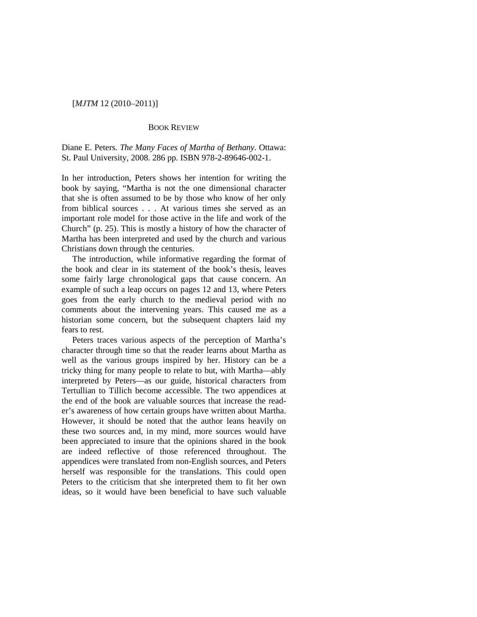## [*MJTM* 12 (2010–2011)]

## BOOK REVIEW

Diane E. Peters. *The Many Faces of Martha of Bethany*. Ottawa: St. Paul University, 2008. 286 pp. ISBN 978-2-89646-002-1.

In her introduction, Peters shows her intention for writing the book by saying, "Martha is not the one dimensional character that she is often assumed to be by those who know of her only from biblical sources . . . At various times she served as an important role model for those active in the life and work of the Church" (p. 25). This is mostly a history of how the character of Martha has been interpreted and used by the church and various Christians down through the centuries.

The introduction, while informative regarding the format of the book and clear in its statement of the book's thesis, leaves some fairly large chronological gaps that cause concern. An example of such a leap occurs on pages 12 and 13, where Peters goes from the early church to the medieval period with no comments about the intervening years. This caused me as a historian some concern, but the subsequent chapters laid my fears to rest.

Peters traces various aspects of the perception of Martha's character through time so that the reader learns about Martha as well as the various groups inspired by her. History can be a tricky thing for many people to relate to but, with Martha—ably interpreted by Peters—as our guide, historical characters from Tertullian to Tillich become accessible. The two appendices at the end of the book are valuable sources that increase the reader's awareness of how certain groups have written about Martha. However, it should be noted that the author leans heavily on these two sources and, in my mind, more sources would have been appreciated to insure that the opinions shared in the book are indeed reflective of those referenced throughout. The appendices were translated from non-English sources, and Peters herself was responsible for the translations. This could open Peters to the criticism that she interpreted them to fit her own ideas, so it would have been beneficial to have such valuable